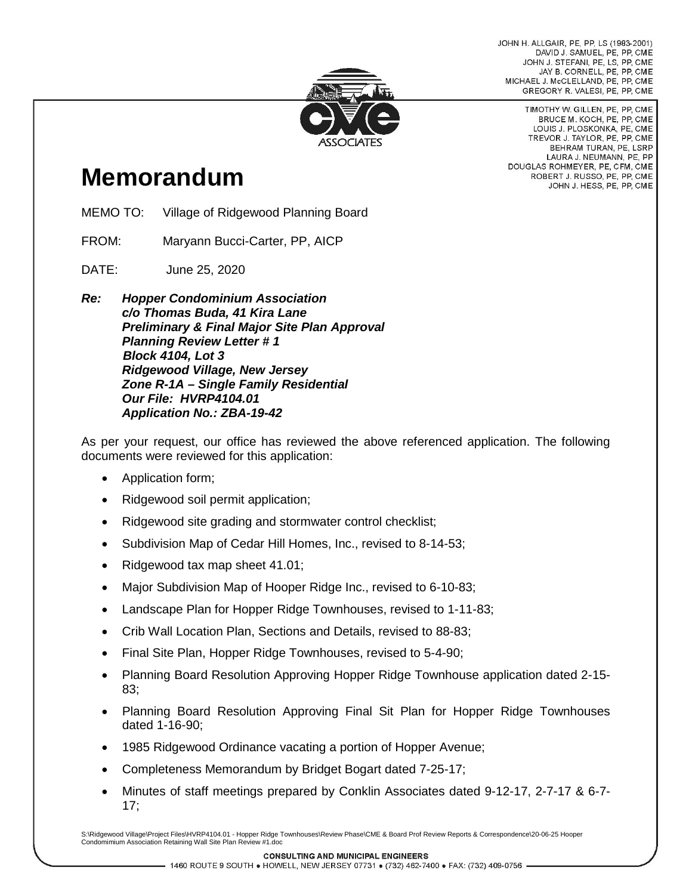JOHN H. ALLGAIR, PE, PP, LS (1983-2001) DAVID J. SAMUEL, PE, PP, CME JOHN J. STEFANI, PE, LS, PP, CME JAY B. CORNELL, PE, PP, CME MICHAEL J. McCLELLAND, PE, PP, CME GREGORY R. VALESI, PE, PP, CME



# **Memorandum**

MEMO TO: Village of Ridgewood Planning Board

FROM: Maryann Bucci-Carter, PP, AICP

DATE: June 25, 2020

*Re: Hopper Condominium Association c/o Thomas Buda, 41 Kira Lane Preliminary & Final Major Site Plan Approval Planning Review Letter # 1 Block 4104, Lot 3 Ridgewood Village, New Jersey Zone R-1A – Single Family Residential Our File: HVRP4104.01 Application No.: ZBA-19-42* 

As per your request, our office has reviewed the above referenced application. The following documents were reviewed for this application:

- Application form;
- Ridgewood soil permit application;
- Ridgewood site grading and stormwater control checklist;
- Subdivision Map of Cedar Hill Homes, Inc., revised to 8-14-53;
- Ridgewood tax map sheet 41.01;
- Major Subdivision Map of Hooper Ridge Inc., revised to 6-10-83;
- Landscape Plan for Hopper Ridge Townhouses, revised to 1-11-83;
- Crib Wall Location Plan, Sections and Details, revised to 88-83;
- Final Site Plan, Hopper Ridge Townhouses, revised to 5-4-90;
- Planning Board Resolution Approving Hopper Ridge Townhouse application dated 2-15- 83;
- Planning Board Resolution Approving Final Sit Plan for Hopper Ridge Townhouses dated 1-16-90;
- 1985 Ridgewood Ordinance vacating a portion of Hopper Avenue;
- Completeness Memorandum by Bridget Bogart dated 7-25-17;
- Minutes of staff meetings prepared by Conklin Associates dated 9-12-17, 2-7-17 & 6-7- 17;

S:\Ridgewood Village\Project Files\HVRP4104.01 - Hopper Ridge Townhouses\Review Phase\CME & Board Prof Review Reports & Correspondence\20-06-25 Hooper Condomimium Association Retaining Wall Site Plan Review #1.doc

TIMOTHY W. GILLEN, PE, PP, CME BRUCE M. KOCH, PE, PP, CME LOUIS J. PLOSKONKA, PE, CME TREVOR J. TAYLOR, PE, PP, CME BEHRAM TURAN, PE, LSRP LAURA J. NEUMANN, PE, PP DOUGLAS ROHMEYER, PE, CFM, CME ROBERT J. RUSSO, PE, PP, CME JOHN J. HESS, PE, PP, CME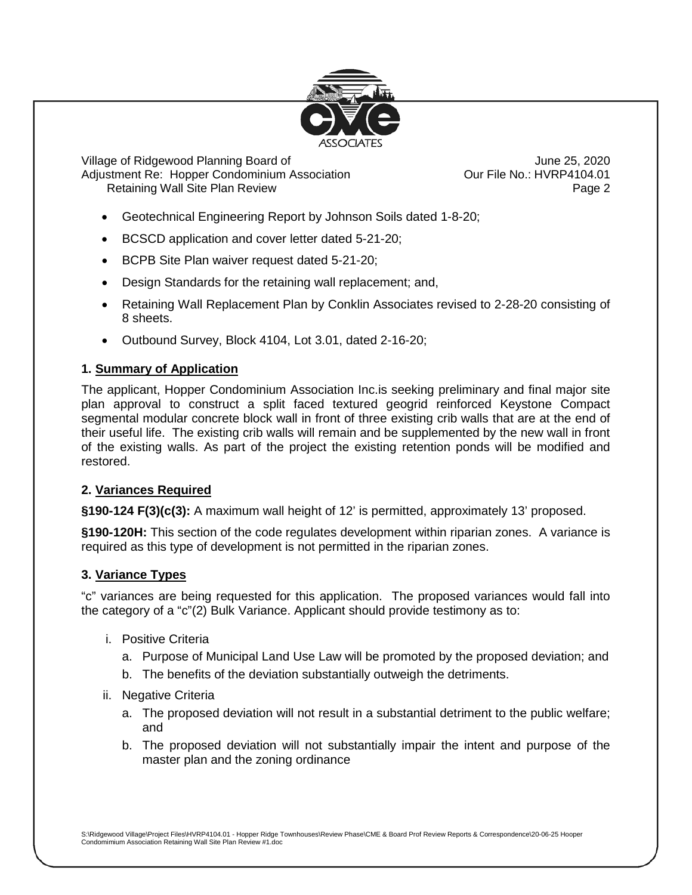

Village of Ridgewood Planning Board of Allen Communication Communication Communication Communication Communication Communication Communication Communication Communication Communication Communication Communication Communica Adjustment Re: Hopper Condominium Association **Our File No.: HVRP4104.01** Retaining Wall Site Plan Review **Page 2** and the state of the state Page 2

- Geotechnical Engineering Report by Johnson Soils dated 1-8-20;
- BCSCD application and cover letter dated 5-21-20;
- BCPB Site Plan waiver request dated 5-21-20;
- Design Standards for the retaining wall replacement; and,
- Retaining Wall Replacement Plan by Conklin Associates revised to 2-28-20 consisting of 8 sheets.
- Outbound Survey, Block 4104, Lot 3.01, dated 2-16-20;

## **1. Summary of Application**

The applicant, Hopper Condominium Association Inc.is seeking preliminary and final major site plan approval to construct a split faced textured geogrid reinforced Keystone Compact segmental modular concrete block wall in front of three existing crib walls that are at the end of their useful life. The existing crib walls will remain and be supplemented by the new wall in front of the existing walls. As part of the project the existing retention ponds will be modified and restored.

### **2. Variances Required**

**§190-124 F(3)(c(3):** A maximum wall height of 12' is permitted, approximately 13' proposed.

**§190-120H:** This section of the code regulates development within riparian zones. A variance is required as this type of development is not permitted in the riparian zones.

### **3. Variance Types**

"c" variances are being requested for this application. The proposed variances would fall into the category of a "c"(2) Bulk Variance. Applicant should provide testimony as to:

- i. Positive Criteria
	- a. Purpose of Municipal Land Use Law will be promoted by the proposed deviation; and
	- b. The benefits of the deviation substantially outweigh the detriments.
- ii. Negative Criteria
	- a. The proposed deviation will not result in a substantial detriment to the public welfare; and
	- b. The proposed deviation will not substantially impair the intent and purpose of the master plan and the zoning ordinance